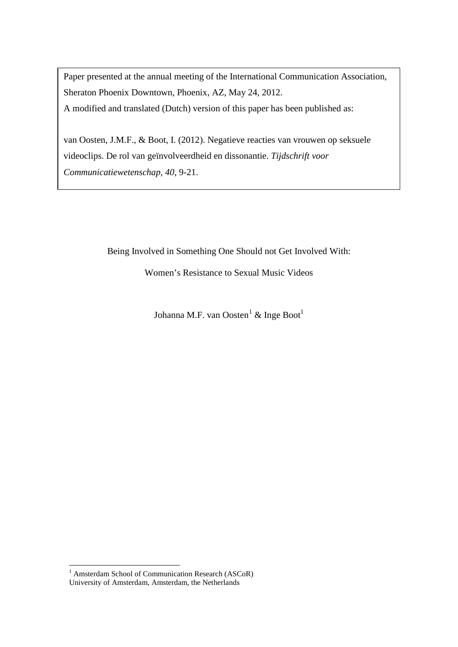Paper presented at the annual meeting of the International Communication Association, Sheraton Phoenix Downtown, Phoenix, AZ, May 24, 2012. A modified and translated (Dutch) version of this paper has been published as:

van Oosten, J.M.F., & Boot, I. (2012). Negatieve reacties van vrouwen op seksuele videoclips. De rol van geïnvolveerdheid en dissonantie. *Tijdschrift voor Communicatiewetenschap, 40*, 9-21.

Being Involved in Something One Should not Get Involved With:

Women's Resistance to Sexual Music Videos

Johanna M.F. van Oosten<sup>[1](#page-0-0)</sup> & Inge Boot<sup>1</sup>

 $\overline{a}$ 

<span id="page-0-0"></span><sup>&</sup>lt;sup>1</sup> Amsterdam School of Communication Research (ASCoR) University of Amsterdam, Amsterdam, the Netherlands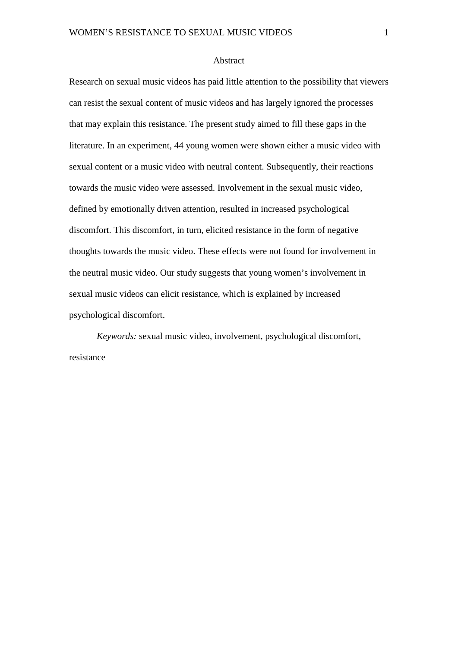#### Abstract

Research on sexual music videos has paid little attention to the possibility that viewers can resist the sexual content of music videos and has largely ignored the processes that may explain this resistance. The present study aimed to fill these gaps in the literature. In an experiment, 44 young women were shown either a music video with sexual content or a music video with neutral content. Subsequently, their reactions towards the music video were assessed. Involvement in the sexual music video, defined by emotionally driven attention, resulted in increased psychological discomfort. This discomfort, in turn, elicited resistance in the form of negative thoughts towards the music video. These effects were not found for involvement in the neutral music video. Our study suggests that young women's involvement in sexual music videos can elicit resistance, which is explained by increased psychological discomfort.

*Keywords:* sexual music video, involvement, psychological discomfort, resistance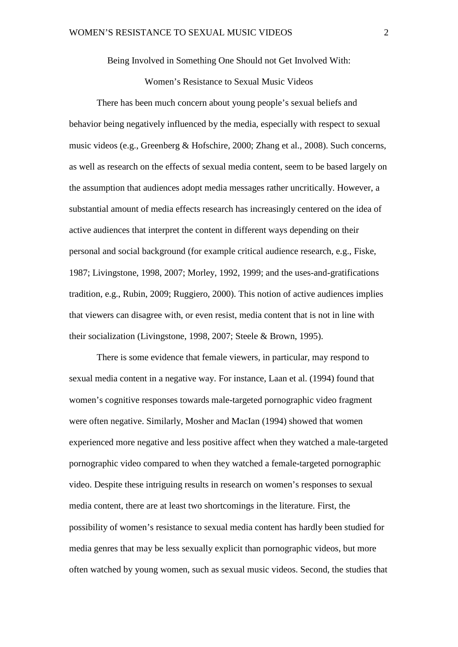Being Involved in Something One Should not Get Involved With:

# Women's Resistance to Sexual Music Videos

There has been much concern about young people's sexual beliefs and behavior being negatively influenced by the media, especially with respect to sexual music videos (e.g., Greenberg & Hofschire, 2000; Zhang et al., 2008). Such concerns, as well as research on the effects of sexual media content, seem to be based largely on the assumption that audiences adopt media messages rather uncritically. However, a substantial amount of media effects research has increasingly centered on the idea of active audiences that interpret the content in different ways depending on their personal and social background (for example critical audience research, e.g., Fiske, 1987; Livingstone, 1998, 2007; Morley, 1992, 1999; and the uses-and-gratifications tradition, e.g., Rubin, 2009; Ruggiero, 2000). This notion of active audiences implies that viewers can disagree with, or even resist, media content that is not in line with their socialization (Livingstone, 1998, 2007; Steele & Brown, 1995).

There is some evidence that female viewers, in particular, may respond to sexual media content in a negative way. For instance, Laan et al. (1994) found that women's cognitive responses towards male-targeted pornographic video fragment were often negative. Similarly, Mosher and MacIan (1994) showed that women experienced more negative and less positive affect when they watched a male-targeted pornographic video compared to when they watched a female-targeted pornographic video. Despite these intriguing results in research on women's responses to sexual media content, there are at least two shortcomings in the literature. First, the possibility of women's resistance to sexual media content has hardly been studied for media genres that may be less sexually explicit than pornographic videos, but more often watched by young women, such as sexual music videos. Second, the studies that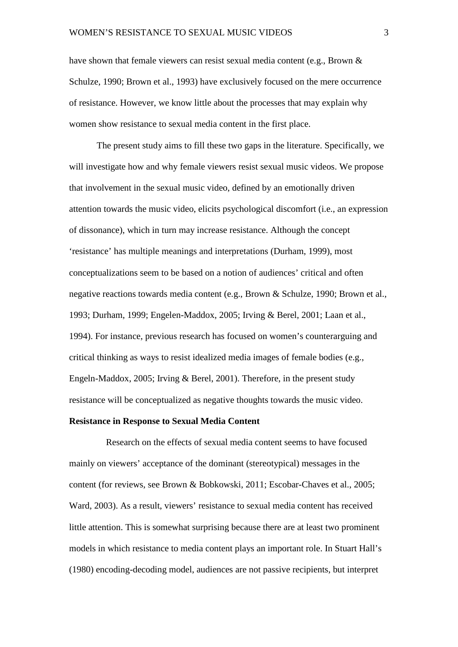have shown that female viewers can resist sexual media content (e.g., Brown & Schulze, 1990; Brown et al., 1993) have exclusively focused on the mere occurrence of resistance. However, we know little about the processes that may explain why women show resistance to sexual media content in the first place.

The present study aims to fill these two gaps in the literature. Specifically, we will investigate how and why female viewers resist sexual music videos. We propose that involvement in the sexual music video, defined by an emotionally driven attention towards the music video, elicits psychological discomfort (i.e., an expression of dissonance), which in turn may increase resistance. Although the concept 'resistance' has multiple meanings and interpretations (Durham, 1999), most conceptualizations seem to be based on a notion of audiences' critical and often negative reactions towards media content (e.g., Brown & Schulze, 1990; Brown et al., 1993; Durham, 1999; Engelen-Maddox, 2005; Irving & Berel, 2001; Laan et al., 1994). For instance, previous research has focused on women's counterarguing and critical thinking as ways to resist idealized media images of female bodies (e.g., Engeln-Maddox, 2005; Irving & Berel, 2001). Therefore, in the present study resistance will be conceptualized as negative thoughts towards the music video.

#### **Resistance in Response to Sexual Media Content**

Research on the effects of sexual media content seems to have focused mainly on viewers' acceptance of the dominant (stereotypical) messages in the content (for reviews, see Brown & Bobkowski, 2011; Escobar-Chaves et al., 2005; Ward, 2003). As a result, viewers' resistance to sexual media content has received little attention. This is somewhat surprising because there are at least two prominent models in which resistance to media content plays an important role. In Stuart Hall's (1980) encoding-decoding model, audiences are not passive recipients, but interpret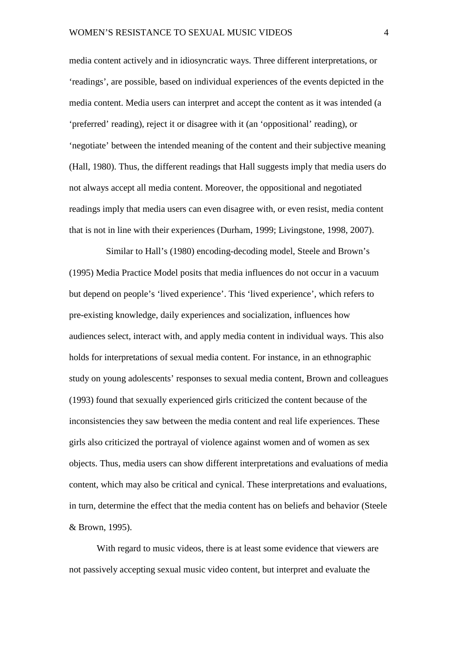media content actively and in idiosyncratic ways. Three different interpretations, or 'readings', are possible, based on individual experiences of the events depicted in the media content. Media users can interpret and accept the content as it was intended (a 'preferred' reading), reject it or disagree with it (an 'oppositional' reading), or 'negotiate' between the intended meaning of the content and their subjective meaning (Hall, 1980). Thus, the different readings that Hall suggests imply that media users do not always accept all media content. Moreover, the oppositional and negotiated readings imply that media users can even disagree with, or even resist, media content that is not in line with their experiences (Durham, 1999; Livingstone, 1998, 2007).

Similar to Hall's (1980) encoding-decoding model, Steele and Brown's (1995) Media Practice Model posits that media influences do not occur in a vacuum but depend on people's 'lived experience'. This 'lived experience', which refers to pre-existing knowledge, daily experiences and socialization, influences how audiences select, interact with, and apply media content in individual ways. This also holds for interpretations of sexual media content. For instance, in an ethnographic study on young adolescents' responses to sexual media content, Brown and colleagues (1993) found that sexually experienced girls criticized the content because of the inconsistencies they saw between the media content and real life experiences. These girls also criticized the portrayal of violence against women and of women as sex objects. Thus, media users can show different interpretations and evaluations of media content, which may also be critical and cynical. These interpretations and evaluations, in turn, determine the effect that the media content has on beliefs and behavior (Steele & Brown, 1995).

With regard to music videos, there is at least some evidence that viewers are not passively accepting sexual music video content, but interpret and evaluate the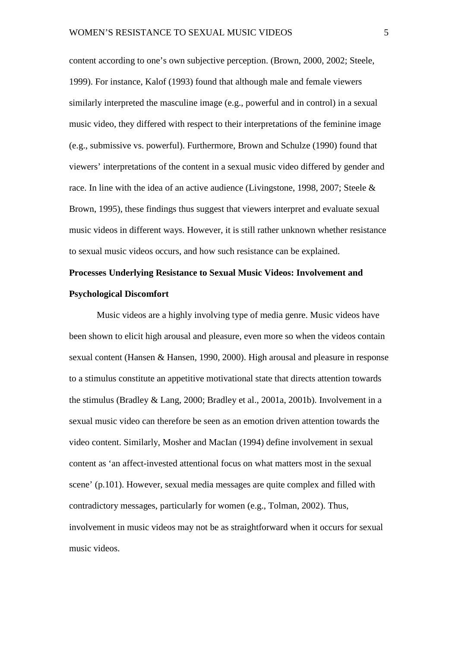content according to one's own subjective perception. (Brown, 2000, 2002; Steele, 1999). For instance, Kalof (1993) found that although male and female viewers similarly interpreted the masculine image (e.g., powerful and in control) in a sexual music video, they differed with respect to their interpretations of the feminine image (e.g., submissive vs. powerful). Furthermore, Brown and Schulze (1990) found that viewers' interpretations of the content in a sexual music video differed by gender and race. In line with the idea of an active audience (Livingstone, 1998, 2007; Steele & Brown, 1995), these findings thus suggest that viewers interpret and evaluate sexual music videos in different ways. However, it is still rather unknown whether resistance to sexual music videos occurs, and how such resistance can be explained.

# **Processes Underlying Resistance to Sexual Music Videos: Involvement and Psychological Discomfort**

Music videos are a highly involving type of media genre. Music videos have been shown to elicit high arousal and pleasure, even more so when the videos contain sexual content (Hansen & Hansen, 1990, 2000). High arousal and pleasure in response to a stimulus constitute an appetitive motivational state that directs attention towards the stimulus (Bradley & Lang, 2000; Bradley et al., 2001a, 2001b). Involvement in a sexual music video can therefore be seen as an emotion driven attention towards the video content. Similarly, Mosher and MacIan (1994) define involvement in sexual content as 'an affect-invested attentional focus on what matters most in the sexual scene' (p.101). However, sexual media messages are quite complex and filled with contradictory messages, particularly for women (e.g., Tolman, 2002). Thus, involvement in music videos may not be as straightforward when it occurs for sexual music videos.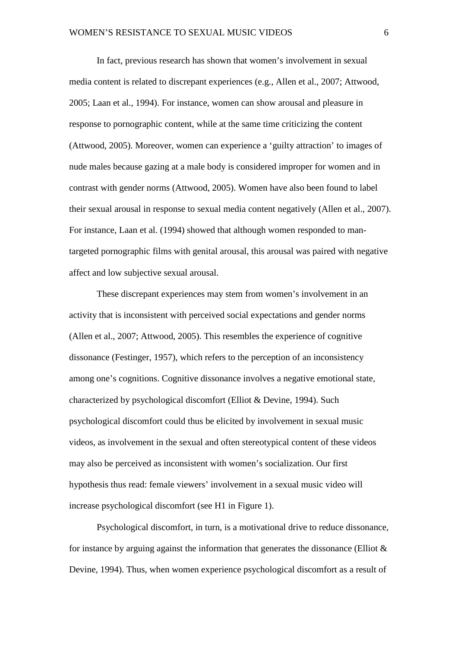In fact, previous research has shown that women's involvement in sexual media content is related to discrepant experiences (e.g., Allen et al., 2007; Attwood, 2005; Laan et al., 1994). For instance, women can show arousal and pleasure in response to pornographic content, while at the same time criticizing the content (Attwood, 2005). Moreover, women can experience a 'guilty attraction' to images of nude males because gazing at a male body is considered improper for women and in contrast with gender norms (Attwood, 2005). Women have also been found to label their sexual arousal in response to sexual media content negatively (Allen et al., 2007). For instance, Laan et al. (1994) showed that although women responded to mantargeted pornographic films with genital arousal, this arousal was paired with negative affect and low subjective sexual arousal.

These discrepant experiences may stem from women's involvement in an activity that is inconsistent with perceived social expectations and gender norms (Allen et al., 2007; Attwood, 2005). This resembles the experience of cognitive dissonance (Festinger, 1957), which refers to the perception of an inconsistency among one's cognitions. Cognitive dissonance involves a negative emotional state, characterized by psychological discomfort (Elliot & Devine, 1994). Such psychological discomfort could thus be elicited by involvement in sexual music videos, as involvement in the sexual and often stereotypical content of these videos may also be perceived as inconsistent with women's socialization. Our first hypothesis thus read: female viewers' involvement in a sexual music video will increase psychological discomfort (see H1 in Figure 1).

Psychological discomfort, in turn, is a motivational drive to reduce dissonance, for instance by arguing against the information that generates the dissonance (Elliot  $\&$ Devine, 1994). Thus, when women experience psychological discomfort as a result of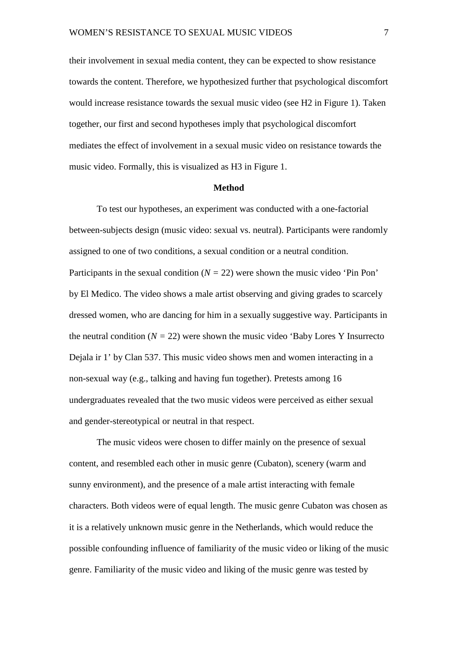their involvement in sexual media content, they can be expected to show resistance towards the content. Therefore, we hypothesized further that psychological discomfort would increase resistance towards the sexual music video (see H2 in Figure 1). Taken together, our first and second hypotheses imply that psychological discomfort mediates the effect of involvement in a sexual music video on resistance towards the music video. Formally, this is visualized as H3 in Figure 1.

#### **Method**

To test our hypotheses, an experiment was conducted with a one-factorial between-subjects design (music video: sexual vs. neutral). Participants were randomly assigned to one of two conditions, a sexual condition or a neutral condition. Participants in the sexual condition  $(N = 22)$  were shown the music video 'Pin Pon' by El Medico. The video shows a male artist observing and giving grades to scarcely dressed women, who are dancing for him in a sexually suggestive way. Participants in the neutral condition  $(N = 22)$  were shown the music video 'Baby Lores Y Insurrecto Dejala ir 1' by Clan 537. This music video shows men and women interacting in a non-sexual way (e.g., talking and having fun together). Pretests among 16 undergraduates revealed that the two music videos were perceived as either sexual and gender-stereotypical or neutral in that respect.

The music videos were chosen to differ mainly on the presence of sexual content, and resembled each other in music genre (Cubaton), scenery (warm and sunny environment), and the presence of a male artist interacting with female characters. Both videos were of equal length. The music genre Cubaton was chosen as it is a relatively unknown music genre in the Netherlands, which would reduce the possible confounding influence of familiarity of the music video or liking of the music genre. Familiarity of the music video and liking of the music genre was tested by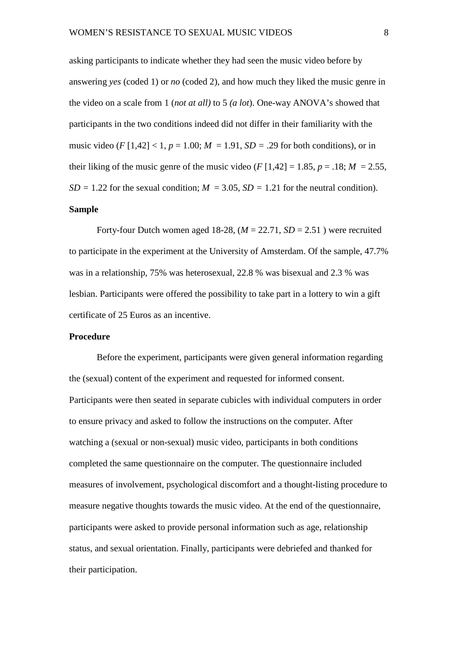asking participants to indicate whether they had seen the music video before by answering *yes* (coded 1) or *no* (coded 2), and how much they liked the music genre in the video on a scale from 1 (*not at all)* to 5 *(a lot*). One-way ANOVA's showed that participants in the two conditions indeed did not differ in their familiarity with the music video (*F* [1,42] < 1,  $p = 1.00$ ;  $M = 1.91$ ,  $SD = .29$  for both conditions), or in their liking of the music genre of the music video ( $F[1,42] = 1.85$ ,  $p = .18$ ;  $M = 2.55$ ,  $SD = 1.22$  for the sexual condition;  $M = 3.05$ ,  $SD = 1.21$  for the neutral condition). **Sample**

Forty-four Dutch women aged 18-28,  $(M = 22.71, SD = 2.51)$  were recruited to participate in the experiment at the University of Amsterdam. Of the sample, 47.7% was in a relationship, 75% was heterosexual, 22.8 % was bisexual and 2.3 % was lesbian. Participants were offered the possibility to take part in a lottery to win a gift certificate of 25 Euros as an incentive.

## **Procedure**

Before the experiment, participants were given general information regarding the (sexual) content of the experiment and requested for informed consent. Participants were then seated in separate cubicles with individual computers in order to ensure privacy and asked to follow the instructions on the computer. After watching a (sexual or non-sexual) music video, participants in both conditions completed the same questionnaire on the computer. The questionnaire included measures of involvement, psychological discomfort and a thought-listing procedure to measure negative thoughts towards the music video. At the end of the questionnaire, participants were asked to provide personal information such as age, relationship status, and sexual orientation. Finally, participants were debriefed and thanked for their participation.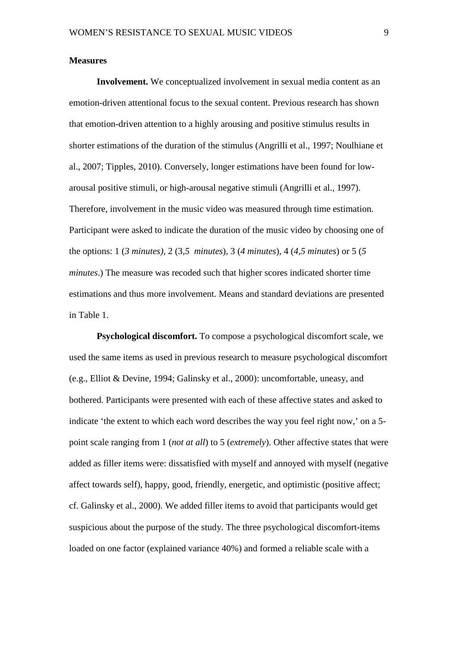#### **Measures**

**Involvement.** We conceptualized involvement in sexual media content as an emotion-driven attentional focus to the sexual content. Previous research has shown that emotion-driven attention to a highly arousing and positive stimulus results in shorter estimations of the duration of the stimulus (Angrilli et al., 1997; Noulhiane et al., 2007; Tipples, 2010). Conversely, longer estimations have been found for lowarousal positive stimuli, or high-arousal negative stimuli (Angrilli et al., 1997). Therefore, involvement in the music video was measured through time estimation. Participant were asked to indicate the duration of the music video by choosing one of the options: 1 (*3 minutes),* 2 (3*,5 minutes*), 3 (*4 minutes*)*,* 4 (*4,5 minutes*) or 5 (*5 minutes*.) The measure was recoded such that higher scores indicated shorter time estimations and thus more involvement. Means and standard deviations are presented in Table 1.

**Psychological discomfort.** To compose a psychological discomfort scale, we used the same items as used in previous research to measure psychological discomfort (e.g., Elliot & Devine, 1994; Galinsky et al., 2000): uncomfortable, uneasy, and bothered. Participants were presented with each of these affective states and asked to indicate 'the extent to which each word describes the way you feel right now,' on a 5 point scale ranging from 1 (*not at all*) to 5 (*extremely*). Other affective states that were added as filler items were: dissatisfied with myself and annoyed with myself (negative affect towards self), happy, good, friendly, energetic, and optimistic (positive affect; cf. Galinsky et al., 2000). We added filler items to avoid that participants would get suspicious about the purpose of the study. The three psychological discomfort-items loaded on one factor (explained variance 40%) and formed a reliable scale with a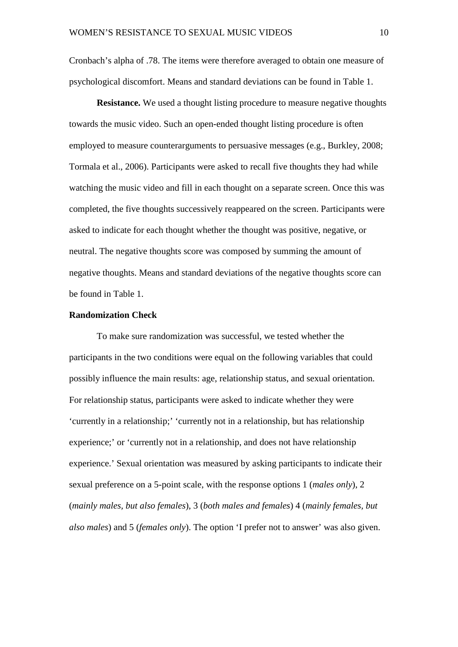Cronbach's alpha of .78. The items were therefore averaged to obtain one measure of psychological discomfort. Means and standard deviations can be found in Table 1.

**Resistance.** We used a thought listing procedure to measure negative thoughts towards the music video. Such an open-ended thought listing procedure is often employed to measure counterarguments to persuasive messages (e.g., Burkley, 2008; Tormala et al., 2006). Participants were asked to recall five thoughts they had while watching the music video and fill in each thought on a separate screen. Once this was completed, the five thoughts successively reappeared on the screen. Participants were asked to indicate for each thought whether the thought was positive, negative, or neutral. The negative thoughts score was composed by summing the amount of negative thoughts. Means and standard deviations of the negative thoughts score can be found in Table 1.

## **Randomization Check**

To make sure randomization was successful, we tested whether the participants in the two conditions were equal on the following variables that could possibly influence the main results: age, relationship status, and sexual orientation. For relationship status, participants were asked to indicate whether they were 'currently in a relationship;' 'currently not in a relationship, but has relationship experience;' or 'currently not in a relationship, and does not have relationship experience.' Sexual orientation was measured by asking participants to indicate their sexual preference on a 5-point scale, with the response options 1 (*males only*), 2 (*mainly males, but also females*), 3 (*both males and females*) 4 (*mainly females, but also males*) and 5 (*females only*). The option 'I prefer not to answer' was also given.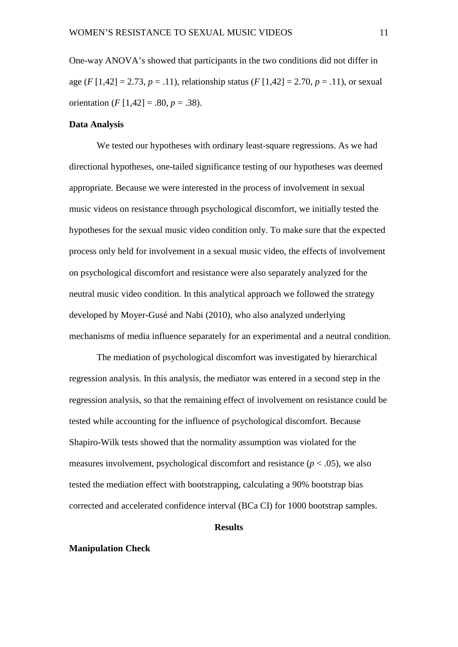One-way ANOVA's showed that participants in the two conditions did not differ in age (*F* [1,42] = 2.73, *p* = .11), relationship status (*F* [1,42] = 2.70, *p* = .11), or sexual orientation  $(F [1, 42] = .80, p = .38)$ .

#### **Data Analysis**

We tested our hypotheses with ordinary least-square regressions. As we had directional hypotheses, one-tailed significance testing of our hypotheses was deemed appropriate. Because we were interested in the process of involvement in sexual music videos on resistance through psychological discomfort, we initially tested the hypotheses for the sexual music video condition only. To make sure that the expected process only held for involvement in a sexual music video, the effects of involvement on psychological discomfort and resistance were also separately analyzed for the neutral music video condition. In this analytical approach we followed the strategy developed by Moyer-Gusé and Nabi (2010), who also analyzed underlying mechanisms of media influence separately for an experimental and a neutral condition.

The mediation of psychological discomfort was investigated by hierarchical regression analysis. In this analysis, the mediator was entered in a second step in the regression analysis, so that the remaining effect of involvement on resistance could be tested while accounting for the influence of psychological discomfort. Because Shapiro-Wilk tests showed that the normality assumption was violated for the measures involvement, psychological discomfort and resistance  $(p < .05)$ , we also tested the mediation effect with bootstrapping, calculating a 90% bootstrap bias corrected and accelerated confidence interval (BCa CI) for 1000 bootstrap samples.

#### **Results**

#### **Manipulation Check**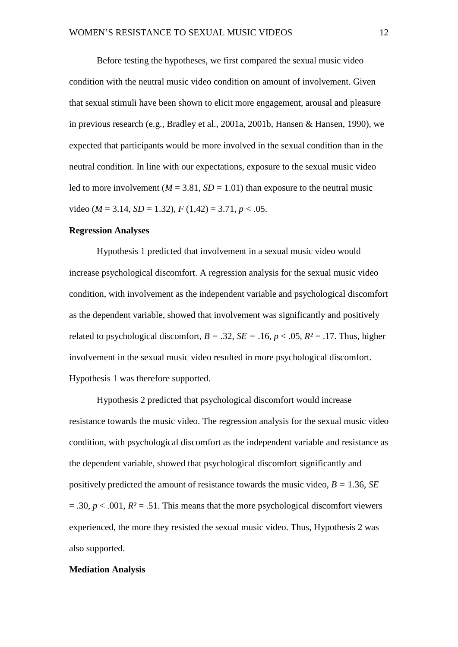Before testing the hypotheses, we first compared the sexual music video condition with the neutral music video condition on amount of involvement. Given that sexual stimuli have been shown to elicit more engagement, arousal and pleasure in previous research (e.g., Bradley et al., 2001a, 2001b, Hansen & Hansen, 1990), we expected that participants would be more involved in the sexual condition than in the neutral condition. In line with our expectations, exposure to the sexual music video led to more involvement ( $M = 3.81$ ,  $SD = 1.01$ ) than exposure to the neutral music video ( $M = 3.14$ ,  $SD = 1.32$ ),  $F(1,42) = 3.71$ ,  $p < .05$ .

#### **Regression Analyses**

Hypothesis 1 predicted that involvement in a sexual music video would increase psychological discomfort. A regression analysis for the sexual music video condition, with involvement as the independent variable and psychological discomfort as the dependent variable, showed that involvement was significantly and positively related to psychological discomfort,  $B = .32$ ,  $SE = .16$ ,  $p < .05$ ,  $R^2 = .17$ . Thus, higher involvement in the sexual music video resulted in more psychological discomfort. Hypothesis 1 was therefore supported.

Hypothesis 2 predicted that psychological discomfort would increase resistance towards the music video. The regression analysis for the sexual music video condition, with psychological discomfort as the independent variable and resistance as the dependent variable, showed that psychological discomfort significantly and positively predicted the amount of resistance towards the music video, *B =* 1.36, *SE*  $= .30, p < .001, R<sup>2</sup> = .51$ . This means that the more psychological discomfort viewers experienced, the more they resisted the sexual music video. Thus, Hypothesis 2 was also supported.

#### **Mediation Analysis**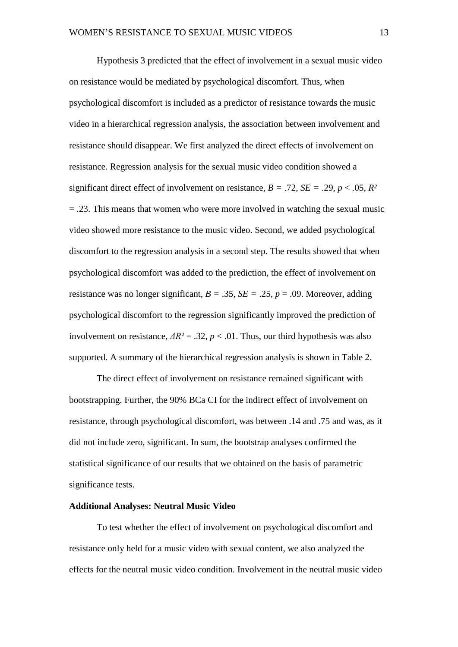Hypothesis 3 predicted that the effect of involvement in a sexual music video on resistance would be mediated by psychological discomfort. Thus, when psychological discomfort is included as a predictor of resistance towards the music video in a hierarchical regression analysis, the association between involvement and resistance should disappear. We first analyzed the direct effects of involvement on resistance. Regression analysis for the sexual music video condition showed a significant direct effect of involvement on resistance,  $B = .72$ ,  $SE = .29$ ,  $p < .05$ ,  $R^2$  $=$  .23. This means that women who were more involved in watching the sexual music video showed more resistance to the music video. Second, we added psychological discomfort to the regression analysis in a second step. The results showed that when psychological discomfort was added to the prediction, the effect of involvement on resistance was no longer significant,  $B = .35$ ,  $SE = .25$ ,  $p = .09$ . Moreover, adding psychological discomfort to the regression significantly improved the prediction of involvement on resistance,  $\Delta R^2 = .32$ ,  $p < .01$ . Thus, our third hypothesis was also supported. A summary of the hierarchical regression analysis is shown in Table 2.

The direct effect of involvement on resistance remained significant with bootstrapping. Further, the 90% BCa CI for the indirect effect of involvement on resistance, through psychological discomfort, was between .14 and .75 and was, as it did not include zero, significant. In sum, the bootstrap analyses confirmed the statistical significance of our results that we obtained on the basis of parametric significance tests.

## **Additional Analyses: Neutral Music Video**

To test whether the effect of involvement on psychological discomfort and resistance only held for a music video with sexual content, we also analyzed the effects for the neutral music video condition. Involvement in the neutral music video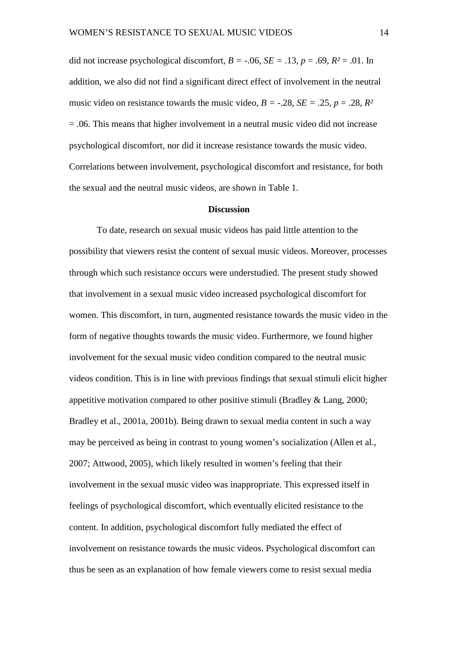did not increase psychological discomfort,  $B = -0.06$ ,  $SE = 0.13$ ,  $p = 0.69$ ,  $R^2 = 0.01$ . In addition, we also did not find a significant direct effect of involvement in the neutral music video on resistance towards the music video,  $B = -.28$ ,  $SE = .25$ ,  $p = .28$ ,  $R^2$ = .06. This means that higher involvement in a neutral music video did not increase psychological discomfort, nor did it increase resistance towards the music video. Correlations between involvement, psychological discomfort and resistance, for both the sexual and the neutral music videos, are shown in Table 1.

#### **Discussion**

To date, research on sexual music videos has paid little attention to the possibility that viewers resist the content of sexual music videos. Moreover, processes through which such resistance occurs were understudied. The present study showed that involvement in a sexual music video increased psychological discomfort for women. This discomfort, in turn, augmented resistance towards the music video in the form of negative thoughts towards the music video. Furthermore, we found higher involvement for the sexual music video condition compared to the neutral music videos condition. This is in line with previous findings that sexual stimuli elicit higher appetitive motivation compared to other positive stimuli (Bradley & Lang, 2000; Bradley et al., 2001a, 2001b). Being drawn to sexual media content in such a way may be perceived as being in contrast to young women's socialization (Allen et al., 2007; Attwood, 2005), which likely resulted in women's feeling that their involvement in the sexual music video was inappropriate. This expressed itself in feelings of psychological discomfort, which eventually elicited resistance to the content. In addition, psychological discomfort fully mediated the effect of involvement on resistance towards the music videos. Psychological discomfort can thus be seen as an explanation of how female viewers come to resist sexual media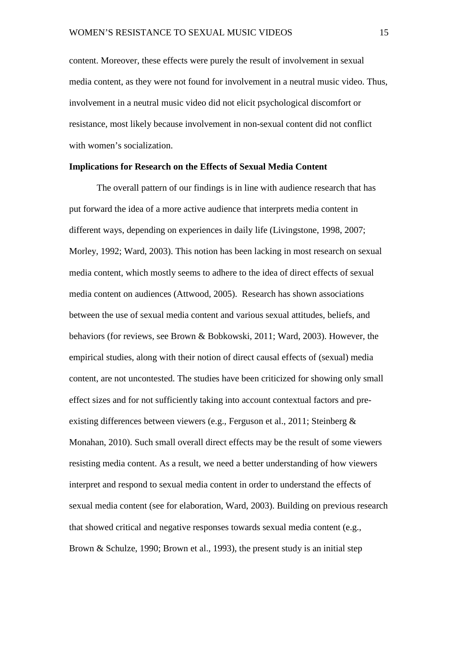content. Moreover, these effects were purely the result of involvement in sexual media content, as they were not found for involvement in a neutral music video. Thus, involvement in a neutral music video did not elicit psychological discomfort or resistance, most likely because involvement in non-sexual content did not conflict with women's socialization.

## **Implications for Research on the Effects of Sexual Media Content**

The overall pattern of our findings is in line with audience research that has put forward the idea of a more active audience that interprets media content in different ways, depending on experiences in daily life (Livingstone, 1998, 2007; Morley, 1992; Ward, 2003). This notion has been lacking in most research on sexual media content, which mostly seems to adhere to the idea of direct effects of sexual media content on audiences (Attwood, 2005). Research has shown associations between the use of sexual media content and various sexual attitudes, beliefs, and behaviors (for reviews, see Brown & Bobkowski, 2011; Ward, 2003). However, the empirical studies, along with their notion of direct causal effects of (sexual) media content, are not uncontested. The studies have been criticized for showing only small effect sizes and for not sufficiently taking into account contextual factors and preexisting differences between viewers (e.g., Ferguson et al., 2011; Steinberg & Monahan, 2010). Such small overall direct effects may be the result of some viewers resisting media content. As a result, we need a better understanding of how viewers interpret and respond to sexual media content in order to understand the effects of sexual media content (see for elaboration, Ward, 2003). Building on previous research that showed critical and negative responses towards sexual media content (e.g., Brown & Schulze, 1990; Brown et al., 1993), the present study is an initial step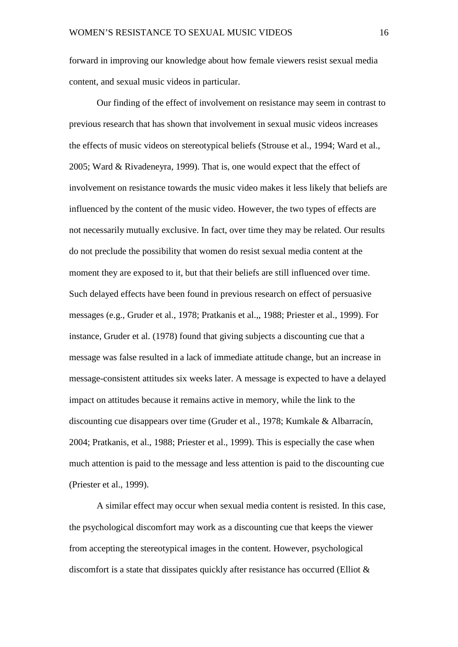forward in improving our knowledge about how female viewers resist sexual media content, and sexual music videos in particular.

Our finding of the effect of involvement on resistance may seem in contrast to previous research that has shown that involvement in sexual music videos increases the effects of music videos on stereotypical beliefs (Strouse et al., 1994; Ward et al., 2005; Ward & Rivadeneyra, 1999). That is, one would expect that the effect of involvement on resistance towards the music video makes it less likely that beliefs are influenced by the content of the music video. However, the two types of effects are not necessarily mutually exclusive. In fact, over time they may be related. Our results do not preclude the possibility that women do resist sexual media content at the moment they are exposed to it, but that their beliefs are still influenced over time. Such delayed effects have been found in previous research on effect of persuasive messages (e.g., Gruder et al., 1978; Pratkanis et al.,, 1988; Priester et al., 1999). For instance, Gruder et al. (1978) found that giving subjects a discounting cue that a message was false resulted in a lack of immediate attitude change, but an increase in message-consistent attitudes six weeks later. A message is expected to have a delayed impact on attitudes because it remains active in memory, while the link to the discounting cue disappears over time (Gruder et al., 1978; Kumkale & Albarracín, 2004; Pratkanis, et al., 1988; Priester et al., 1999). This is especially the case when much attention is paid to the message and less attention is paid to the discounting cue (Priester et al., 1999).

A similar effect may occur when sexual media content is resisted. In this case, the psychological discomfort may work as a discounting cue that keeps the viewer from accepting the stereotypical images in the content. However, psychological discomfort is a state that dissipates quickly after resistance has occurred (Elliot &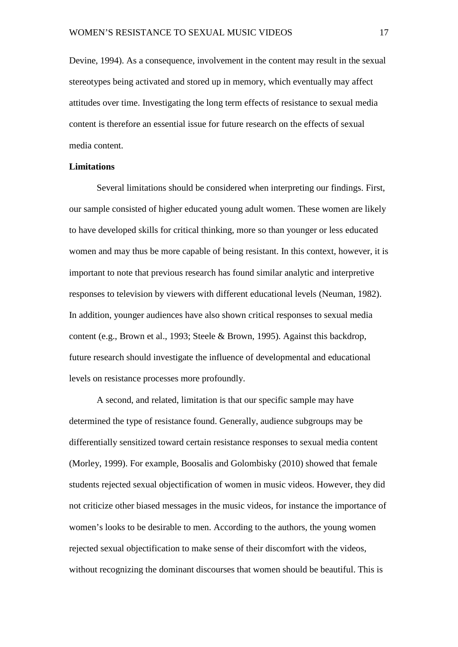Devine, 1994). As a consequence, involvement in the content may result in the sexual stereotypes being activated and stored up in memory, which eventually may affect attitudes over time. Investigating the long term effects of resistance to sexual media content is therefore an essential issue for future research on the effects of sexual media content.

#### **Limitations**

Several limitations should be considered when interpreting our findings. First, our sample consisted of higher educated young adult women. These women are likely to have developed skills for critical thinking, more so than younger or less educated women and may thus be more capable of being resistant. In this context, however, it is important to note that previous research has found similar analytic and interpretive responses to television by viewers with different educational levels (Neuman, 1982). In addition, younger audiences have also shown critical responses to sexual media content (e.g., Brown et al., 1993; Steele & Brown, 1995). Against this backdrop, future research should investigate the influence of developmental and educational levels on resistance processes more profoundly.

A second, and related, limitation is that our specific sample may have determined the type of resistance found. Generally, audience subgroups may be differentially sensitized toward certain resistance responses to sexual media content (Morley, 1999). For example, Boosalis and Golombisky (2010) showed that female students rejected sexual objectification of women in music videos. However, they did not criticize other biased messages in the music videos, for instance the importance of women's looks to be desirable to men. According to the authors, the young women rejected sexual objectification to make sense of their discomfort with the videos, without recognizing the dominant discourses that women should be beautiful. This is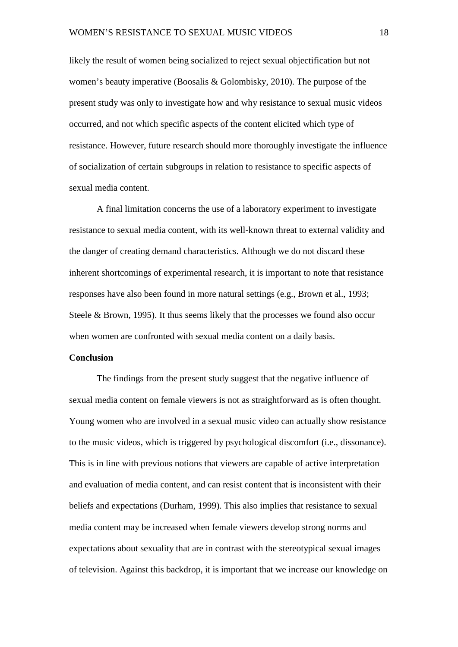likely the result of women being socialized to reject sexual objectification but not women's beauty imperative (Boosalis & Golombisky, 2010). The purpose of the present study was only to investigate how and why resistance to sexual music videos occurred, and not which specific aspects of the content elicited which type of resistance. However, future research should more thoroughly investigate the influence of socialization of certain subgroups in relation to resistance to specific aspects of sexual media content.

A final limitation concerns the use of a laboratory experiment to investigate resistance to sexual media content, with its well-known threat to external validity and the danger of creating demand characteristics. Although we do not discard these inherent shortcomings of experimental research, it is important to note that resistance responses have also been found in more natural settings (e.g., Brown et al., 1993; Steele & Brown, 1995). It thus seems likely that the processes we found also occur when women are confronted with sexual media content on a daily basis.

#### **Conclusion**

The findings from the present study suggest that the negative influence of sexual media content on female viewers is not as straightforward as is often thought. Young women who are involved in a sexual music video can actually show resistance to the music videos, which is triggered by psychological discomfort (i.e., dissonance). This is in line with previous notions that viewers are capable of active interpretation and evaluation of media content, and can resist content that is inconsistent with their beliefs and expectations (Durham, 1999). This also implies that resistance to sexual media content may be increased when female viewers develop strong norms and expectations about sexuality that are in contrast with the stereotypical sexual images of television. Against this backdrop, it is important that we increase our knowledge on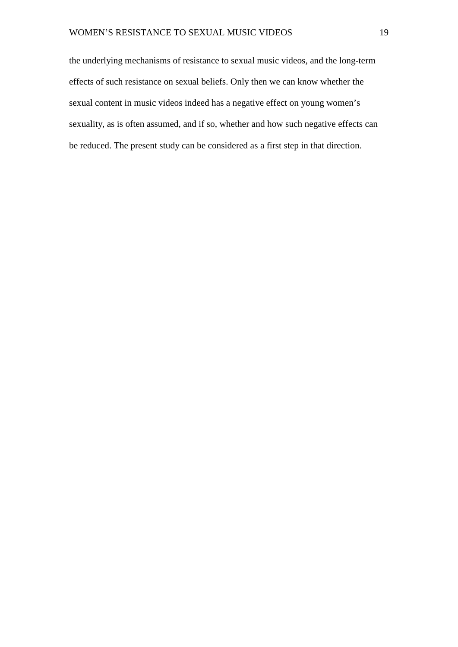the underlying mechanisms of resistance to sexual music videos, and the long-term effects of such resistance on sexual beliefs. Only then we can know whether the sexual content in music videos indeed has a negative effect on young women's sexuality, as is often assumed, and if so, whether and how such negative effects can be reduced. The present study can be considered as a first step in that direction.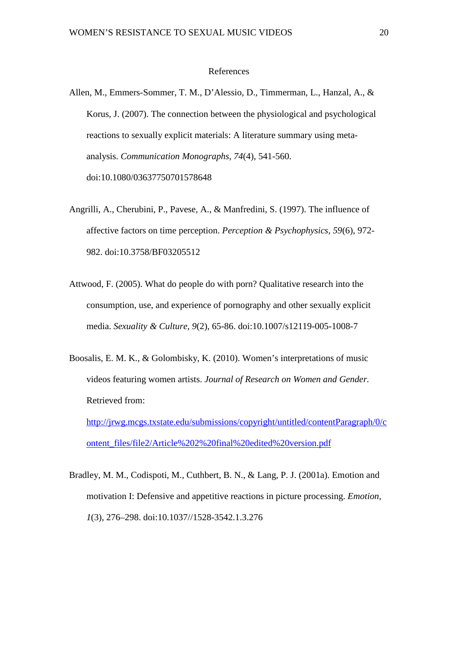#### References

- Allen, M., Emmers-Sommer, T. M., D'Alessio, D., Timmerman, L., Hanzal, A., & Korus, J. (2007). The connection between the physiological and psychological reactions to sexually explicit materials: A literature summary using metaanalysis. *Communication Monographs, 74*(4), 541-560. doi:10.1080/03637750701578648
- Angrilli, A., Cherubini, P., Pavese, A., & Manfredini, S. (1997). The influence of affective factors on time perception. *Perception & Psychophysics, 59*(6), 972- 982. doi:10.3758/BF03205512
- Attwood, F. (2005). What do people do with porn? Qualitative research into the consumption, use, and experience of pornography and other sexually explicit media. *Sexuality & Culture, 9*(2), 65-86. doi:10.1007/s12119-005-1008-7
- Boosalis, E. M. K., & Golombisky, K. (2010). Women's interpretations of music videos featuring women artists. *Journal of Research on Women and Gender.*  Retrieved from: [http://jrwg.mcgs.txstate.edu/submissions/copyright/untitled/contentParagraph/0/c](http://jrwg.mcgs.txstate.edu/submissions/copyright/untitled/contentParagraph/0/content_files/file2/Article%202%20final%20edited%20version.pdf)

[ontent\\_files/file2/Article%202%20final%20edited%20version.pdf](http://jrwg.mcgs.txstate.edu/submissions/copyright/untitled/contentParagraph/0/content_files/file2/Article%202%20final%20edited%20version.pdf)

Bradley, M. M., Codispoti, M., Cuthbert, B. N., & Lang, P. J. (2001a). Emotion and motivation I: Defensive and appetitive reactions in picture processing. *Emotion, 1*(3), 276–298. doi:10.1037//1528-3542.1.3.276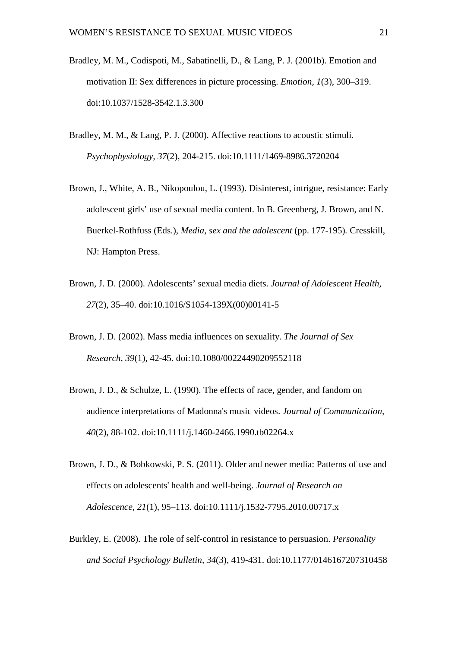- Bradley, M. M., Codispoti, M., Sabatinelli, D., & Lang, P. J. (2001b). Emotion and motivation II: Sex differences in picture processing. *Emotion, 1*(3), 300–319. doi:10.1037/1528-3542.1.3.300
- Bradley, M. M., & Lang, P. J. (2000). Affective reactions to acoustic stimuli. *Psychophysiology, 37*(2), 204-215. doi:10.1111/1469-8986.3720204
- Brown, J., White, A. B., Nikopoulou, L. (1993). Disinterest, intrigue, resistance: Early adolescent girls' use of sexual media content. In B. Greenberg, J. Brown, and N. Buerkel-Rothfuss (Eds.), *Media, sex and the adolescent* (pp. 177-195)*.* Cresskill, NJ: Hampton Press.
- Brown, J. D. (2000). Adolescents' sexual media diets. *Journal of Adolescent Health, 27*(2), 35–40. doi:10.1016/S1054-139X(00)00141-5
- Brown, J. D. (2002). Mass media influences on sexuality. *The Journal of Sex Research, 39*(1), 42-45. doi:10.1080/00224490209552118
- Brown, J. D., & Schulze, L. (1990). The effects of race, gender, and fandom on audience interpretations of Madonna's music videos. *Journal of Communication, 40*(2), 88-102. doi:10.1111/j.1460-2466.1990.tb02264.x
- Brown, J. D., & Bobkowski, P. S. (2011). Older and newer media: Patterns of use and effects on adolescents' health and well-being. *Journal of Research on Adolescence, 21*(1), 95–113. doi:10.1111/j.1532-7795.2010.00717.x
- Burkley, E. (2008). The role of self-control in resistance to persuasion. *Personality and Social Psychology Bulletin, 34*(3), 419-431. doi:10.1177/0146167207310458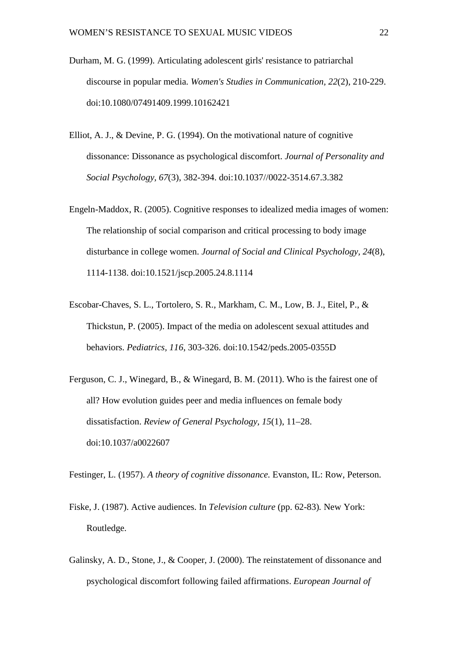- Durham, M. G. (1999). Articulating adolescent girls' resistance to patriarchal discourse in popular media. *Women's Studies in Communication, 22*(2), 210-229. doi:10.1080/07491409.1999.10162421
- Elliot, A. J., & Devine, P. G. (1994). On the motivational nature of cognitive dissonance: Dissonance as psychological discomfort. *Journal of Personality and Social Psychology, 67*(3), 382-394. doi:10.1037//0022-3514.67.3.382
- Engeln-Maddox, R. (2005). Cognitive responses to idealized media images of women: The relationship of social comparison and critical processing to body image disturbance in college women. *Journal of Social and Clinical Psychology, 24*(8), 1114-1138. doi:10.1521/jscp.2005.24.8.1114
- Escobar-Chaves, S. L., Tortolero, S. R., Markham, C. M., Low, B. J., Eitel, P., & Thickstun, P. (2005). Impact of the media on adolescent sexual attitudes and behaviors. *Pediatrics, 116*, 303-326. doi:10.1542/peds.2005-0355D
- Ferguson, C. J., Winegard, B., & Winegard, B. M. (2011). Who is the fairest one of all? How evolution guides peer and media influences on female body dissatisfaction. *Review of General Psychology, 15*(1), 11–28. doi:10.1037/a0022607

Festinger, L. (1957). *A theory of cognitive dissonance.* Evanston, IL: Row, Peterson.

- Fiske, J. (1987). Active audiences. In *Television culture* (pp. 62-83)*.* New York: Routledge.
- Galinsky, A. D., Stone, J., & Cooper, J. (2000). The reinstatement of dissonance and psychological discomfort following failed affirmations. *European Journal of*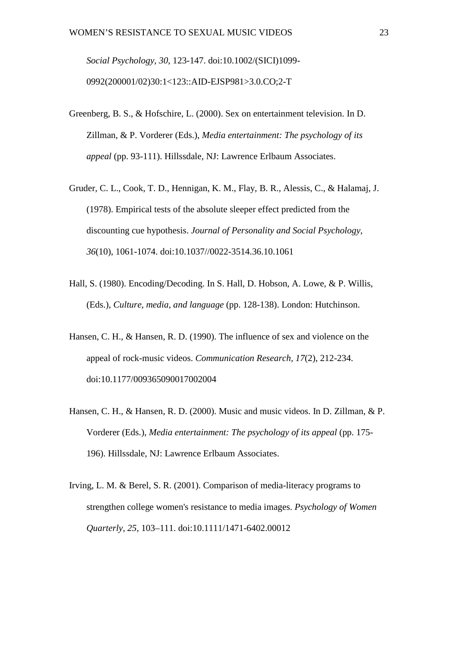*Social Psychology, 30*, 123-147. doi:10.1002/(SICI)1099- 0992(200001/02)30:1<123::AID-EJSP981>3.0.CO;2-T

- Greenberg, B. S., & Hofschire, L. (2000). Sex on entertainment television. In D. Zillman, & P. Vorderer (Eds.), *Media entertainment: The psychology of its appeal* (pp. 93-111). Hillssdale, NJ: Lawrence Erlbaum Associates.
- Gruder, C. L., Cook, T. D., Hennigan, K. M., Flay, B. R., Alessis, C., & Halamaj, J. (1978). Empirical tests of the absolute sleeper effect predicted from the discounting cue hypothesis. *Journal of Personality and Social Psychology, 36*(10), 1061-1074. doi:10.1037//0022-3514.36.10.1061
- Hall, S. (1980). Encoding/Decoding. In S. Hall, D. Hobson, A. Lowe, & P. Willis, (Eds.), *Culture, media, and language* (pp. 128-138). London: Hutchinson.
- Hansen, C. H., & Hansen, R. D. (1990). The influence of sex and violence on the appeal of rock-music videos. *Communication Research, 17*(2), 212-234. doi:10.1177/009365090017002004
- Hansen, C. H., & Hansen, R. D. (2000). Music and music videos. In D. Zillman, & P. Vorderer (Eds.), *Media entertainment: The psychology of its appeal* (pp. 175- 196). Hillssdale, NJ: Lawrence Erlbaum Associates.
- Irving, L. M. & Berel, S. R. (2001). Comparison of media-literacy programs to strengthen college women's resistance to media images. *Psychology of Women Quarterly, 25*, 103–111. doi:10.1111/1471-6402.00012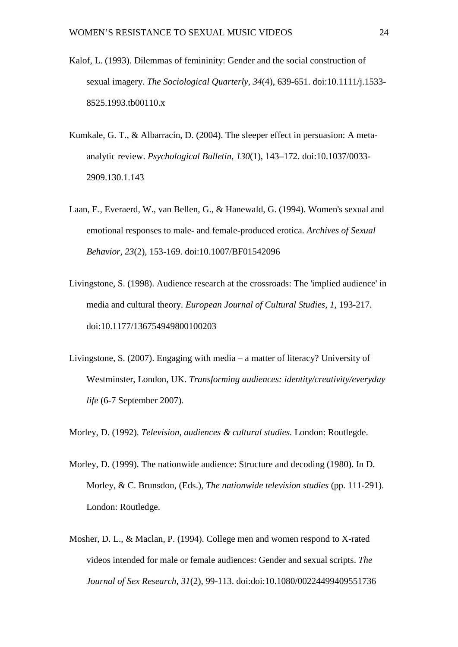- Kalof, L. (1993). Dilemmas of femininity: Gender and the social construction of sexual imagery. *The Sociological Quarterly, 34*(4), 639-651. doi:10.1111/j.1533- 8525.1993.tb00110.x
- Kumkale, G. T., & Albarracín, D. (2004). The sleeper effect in persuasion: A metaanalytic review. *Psychological Bulletin, 130*(1), 143–172. doi:10.1037/0033- 2909.130.1.143
- Laan, E., Everaerd, W., van Bellen, G., & Hanewald, G. (1994). Women's sexual and emotional responses to male- and female-produced erotica. *Archives of Sexual Behavior, 23*(2), 153-169. doi:10.1007/BF01542096
- Livingstone, S. (1998). Audience research at the crossroads: The 'implied audience' in media and cultural theory. *European Journal of Cultural Studies, 1*, 193-217. doi:10.1177/136754949800100203
- Livingstone, S. (2007). Engaging with media a matter of literacy? University of Westminster, London, UK. *Transforming audiences: identity/creativity/everyday life* (6-7 September 2007).

Morley, D. (1992). *Television, audiences & cultural studies.* London: Routlegde.

- Morley, D. (1999). The nationwide audience: Structure and decoding (1980). In D. Morley, & C. Brunsdon, (Eds.), *The nationwide television studies* (pp. 111-291). London: Routledge.
- Mosher, D. L., & Maclan, P. (1994). College men and women respond to X-rated videos intended for male or female audiences: Gender and sexual scripts. *The Journal of Sex Research, 31*(2), 99-113. doi:doi:10.1080/00224499409551736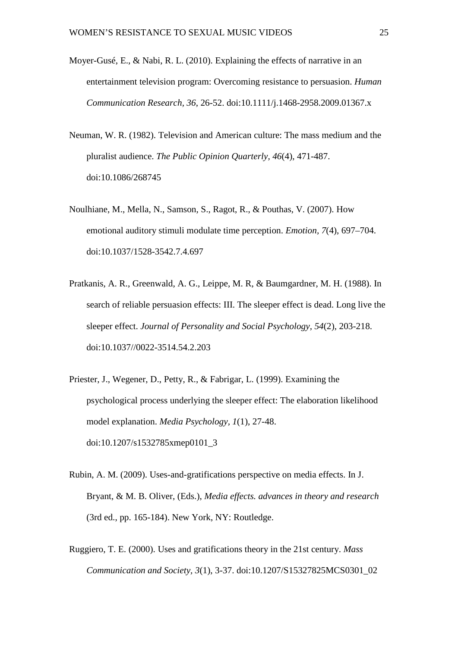- Moyer-Gusé, E., & Nabi, R. L. (2010). Explaining the effects of narrative in an entertainment television program: Overcoming resistance to persuasion. *Human Communication Research, 36*, 26-52. doi:10.1111/j.1468-2958.2009.01367.x
- Neuman, W. R. (1982). Television and American culture: The mass medium and the pluralist audience. *The Public Opinion Quarterly, 46*(4), 471-487. doi:10.1086/268745
- Noulhiane, M., Mella, N., Samson, S., Ragot, R., & Pouthas, V. (2007). How emotional auditory stimuli modulate time perception. *Emotion, 7*(4), 697–704. doi:10.1037/1528-3542.7.4.697
- Pratkanis, A. R., Greenwald, A. G., Leippe, M. R, & Baumgardner, M. H. (1988). In search of reliable persuasion effects: III. The sleeper effect is dead. Long live the sleeper effect. *Journal of Personality and Social Psychology, 54*(2), 203-218. doi:10.1037//0022-3514.54.2.203
- Priester, J., Wegener, D., Petty, R., & Fabrigar, L. (1999). Examining the psychological process underlying the sleeper effect: The elaboration likelihood model explanation. *Media Psychology, 1*(1), 27-48. doi:10.1207/s1532785xmep0101\_3
- Rubin, A. M. (2009). Uses-and-gratifications perspective on media effects. In J. Bryant, & M. B. Oliver, (Eds.), *Media effects. advances in theory and research* (3rd ed., pp. 165-184). New York, NY: Routledge.
- Ruggiero, T. E. (2000). Uses and gratifications theory in the 21st century. *Mass Communication and Society, 3*(1), 3-37. doi:10.1207/S15327825MCS0301\_02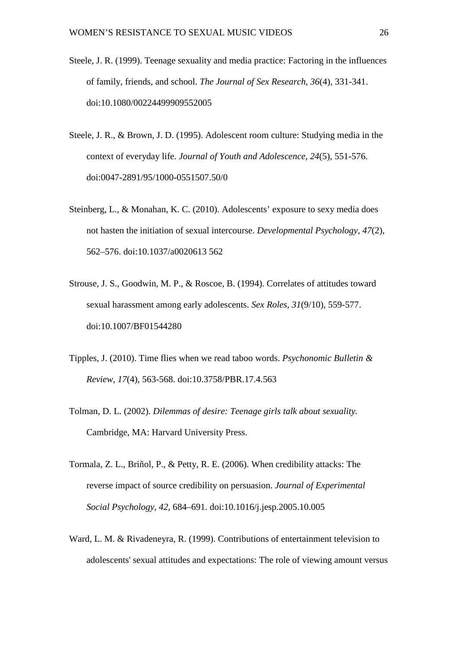- Steele, J. R. (1999). Teenage sexuality and media practice: Factoring in the influences of family, friends, and school. *The Journal of Sex Research, 36*(4), 331-341. doi:10.1080/00224499909552005
- Steele, J. R., & Brown, J. D. (1995). Adolescent room culture: Studying media in the context of everyday life. *Journal of Youth and Adolescence, 24*(5), 551-576. doi:0047-2891/95/1000-0551507.50/0
- Steinberg, L., & Monahan, K. C. (2010). Adolescents' exposure to sexy media does not hasten the initiation of sexual intercourse. *Developmental Psychology, 47*(2), 562–576. doi:10.1037/a0020613 562
- Strouse, J. S., Goodwin, M. P., & Roscoe, B. (1994). Correlates of attitudes toward sexual harassment among early adolescents. *Sex Roles, 31*(9/10), 559-577. doi:10.1007/BF01544280
- Tipples, J. (2010). Time flies when we read taboo words. *Psychonomic Bulletin & Review, 17*(4), 563-568. doi:10.3758/PBR.17.4.563
- Tolman, D. L. (2002). *Dilemmas of desire: Teenage girls talk about sexuality.* Cambridge, MA: Harvard University Press.
- Tormala, Z. L., Briñol, P., & Petty, R. E. (2006). When credibility attacks: The reverse impact of source credibility on persuasion. *Journal of Experimental Social Psychology, 42*, 684–691. doi:10.1016/j.jesp.2005.10.005
- Ward, L. M. & Rivadeneyra, R. (1999). Contributions of entertainment television to adolescents' sexual attitudes and expectations: The role of viewing amount versus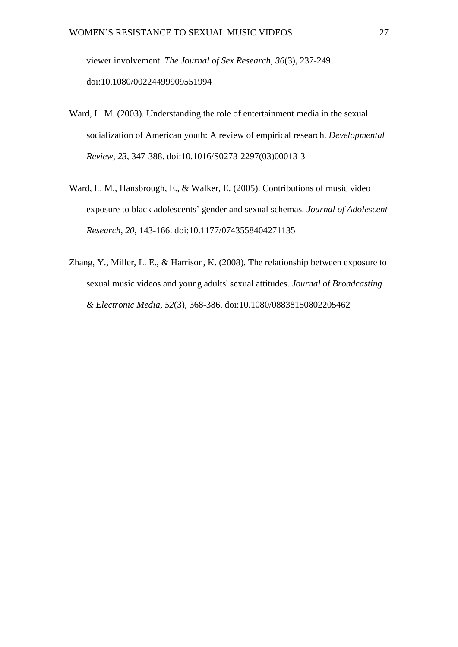viewer involvement. *The Journal of Sex Research, 36*(3), 237-249. doi:10.1080/00224499909551994

- Ward, L. M. (2003). Understanding the role of entertainment media in the sexual socialization of American youth: A review of empirical research. *Developmental Review, 23*, 347-388. doi:10.1016/S0273-2297(03)00013-3
- Ward, L. M., Hansbrough, E., & Walker, E. (2005). Contributions of music video exposure to black adolescents' gender and sexual schemas. *Journal of Adolescent Research, 20*, 143-166. doi:10.1177/0743558404271135
- Zhang, Y., Miller, L. E., & Harrison, K. (2008). The relationship between exposure to sexual music videos and young adults' sexual attitudes. *Journal of Broadcasting & Electronic Media, 52*(3), 368-386. doi:10.1080/08838150802205462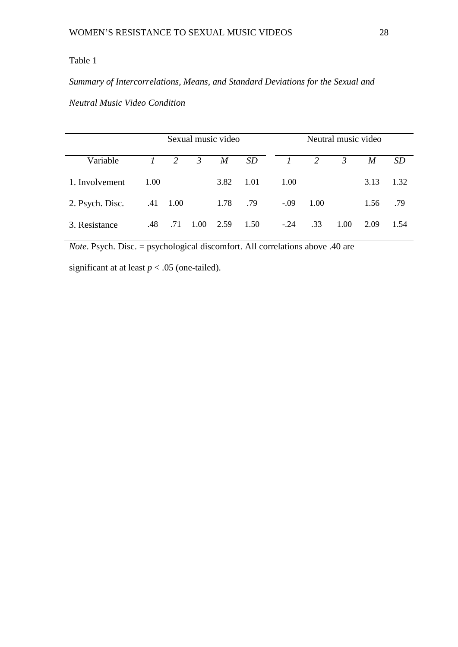# Table 1

# *Summary of Intercorrelations, Means, and Standard Deviations for the Sexual and*

# *Neutral Music Video Condition*

|                 |               |                  |                | Sexual music video |      | Neutral music video  |      |                |      |           |
|-----------------|---------------|------------------|----------------|--------------------|------|----------------------|------|----------------|------|-----------|
| Variable        | $\mathcal{I}$ | 2                | $\mathfrak{Z}$ | M                  | SD   | $\frac{1}{\sqrt{2}}$ | 2    | $\mathfrak{Z}$ | M    | <i>SD</i> |
| 1. Involvement  | 1.00          |                  |                | 3.82               | 1.01 | 1.00                 |      |                | 3.13 | 1.32      |
| 2. Psych. Disc. |               | $.41 \quad 1.00$ |                | 1.78               | .79  | $-.09$               | 1.00 |                | 1.56 | .79       |
| 3. Resistance   | .48           | .71              | 1.00           | 2.59               | 1.50 | $-.24$               | .33  | 1.00           | 2.09 | 1.54      |

*Note*. Psych. Disc. = psychological discomfort. All correlations above .40 are

significant at at least  $p < .05$  (one-tailed).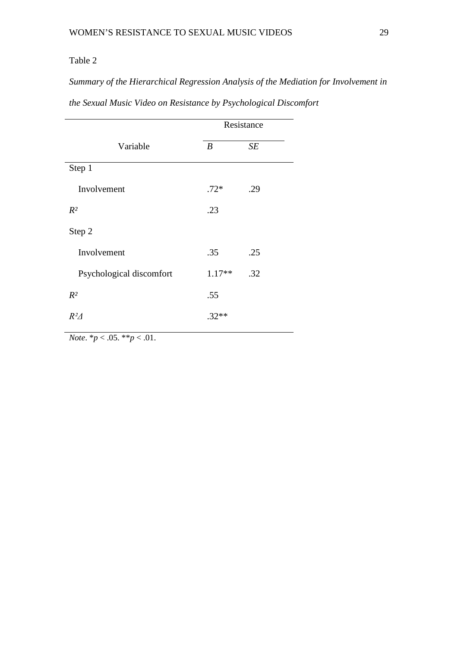# Table 2

*Summary of the Hierarchical Regression Analysis of the Mediation for Involvement in* 

|                          | Resistance       |     |  |  |
|--------------------------|------------------|-----|--|--|
| Variable                 | $\boldsymbol{B}$ | SE  |  |  |
| Step 1                   |                  |     |  |  |
| Involvement              | $.72*$           | .29 |  |  |
| $R^2$                    | .23              |     |  |  |
| Step 2                   |                  |     |  |  |
| Involvement              | .35              | .25 |  |  |
| Psychological discomfort | $1.17**$         | .32 |  |  |
| $R^2$                    | .55              |     |  |  |
| $R^2\Delta$              | $.32**$          |     |  |  |
|                          |                  |     |  |  |

*the Sexual Music Video on Resistance by Psychological Discomfort*

*Note*.  $* p < .05. * * p < .01$ .